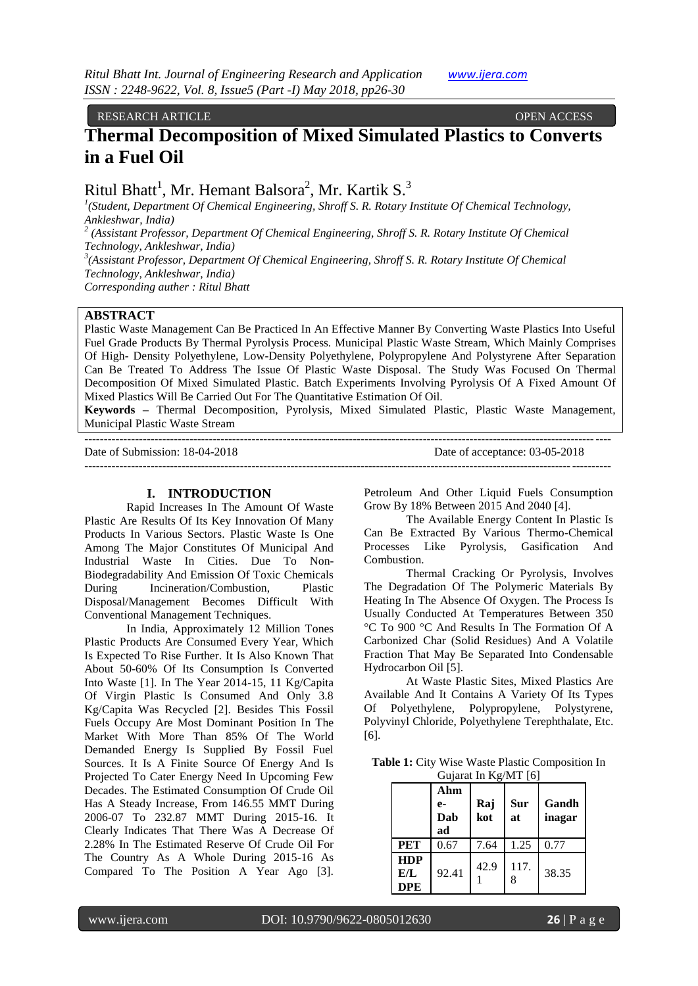### RESEARCH ARTICLE OPEN ACCESS

# **Thermal Decomposition of Mixed Simulated Plastics to Converts in a Fuel Oil**

Ritul Bhatt<sup>1</sup>, Mr. Hemant Balsora<sup>2</sup>, Mr. Kartik S.<sup>3</sup>

<sup>1</sup>(Student, Department Of Chemical Engineering, Shroff S. R. Rotary Institute Of Chemical Technology, *Ankleshwar, India)*

*2 (Assistant Professor, Department Of Chemical Engineering, Shroff S. R. Rotary Institute Of Chemical Technology, Ankleshwar, India)*

*3 (Assistant Professor, Department Of Chemical Engineering, Shroff S. R. Rotary Institute Of Chemical Technology, Ankleshwar, India)*

*Corresponding auther : Ritul Bhatt*

## **ABSTRACT**

Plastic Waste Management Can Be Practiced In An Effective Manner By Converting Waste Plastics Into Useful Fuel Grade Products By Thermal Pyrolysis Process. Municipal Plastic Waste Stream, Which Mainly Comprises Of High- Density Polyethylene, Low-Density Polyethylene, Polypropylene And Polystyrene After Separation Can Be Treated To Address The Issue Of Plastic Waste Disposal. The Study Was Focused On Thermal Decomposition Of Mixed Simulated Plastic. Batch Experiments Involving Pyrolysis Of A Fixed Amount Of Mixed Plastics Will Be Carried Out For The Quantitative Estimation Of Oil.

**Keywords –** Thermal Decomposition, Pyrolysis, Mixed Simulated Plastic, Plastic Waste Management, Municipal Plastic Waste Stream

--------------------------------------------------------------------------------------------------------------------------------------- Date of Submission: 18-04-2018 Date of acceptance: 03-05-2018 ---------------------------------------------------------------------------------------------------------------------------------------

#### **I. INTRODUCTION**

Rapid Increases In The Amount Of Waste Plastic Are Results Of Its Key Innovation Of Many Products In Various Sectors. Plastic Waste Is One Among The Major Constitutes Of Municipal And Industrial Waste In Cities. Due To Non-Biodegradability And Emission Of Toxic Chemicals During Incineration/Combustion, Plastic Disposal/Management Becomes Difficult With Conventional Management Techniques.

In India, Approximately 12 Million Tones Plastic Products Are Consumed Every Year, Which Is Expected To Rise Further. It Is Also Known That About 50-60% Of Its Consumption Is Converted Into Waste [1]. In The Year 2014-15, 11 Kg/Capita Of Virgin Plastic Is Consumed And Only 3.8 Kg/Capita Was Recycled [2]. Besides This Fossil Fuels Occupy Are Most Dominant Position In The Market With More Than 85% Of The World Demanded Energy Is Supplied By Fossil Fuel Sources. It Is A Finite Source Of Energy And Is Projected To Cater Energy Need In Upcoming Few Decades. The Estimated Consumption Of Crude Oil Has A Steady Increase, From 146.55 MMT During 2006-07 To 232.87 MMT During 2015-16. It Clearly Indicates That There Was A Decrease Of 2.28% In The Estimated Reserve Of Crude Oil For The Country As A Whole During 2015-16 As Compared To The Position A Year Ago [3].

Petroleum And Other Liquid Fuels Consumption Grow By 18% Between 2015 And 2040 [4].

The Available Energy Content In Plastic Is Can Be Extracted By Various Thermo-Chemical Processes Like Pyrolysis, Gasification And Combustion.

Thermal Cracking Or Pyrolysis, Involves The Degradation Of The Polymeric Materials By Heating In The Absence Of Oxygen. The Process Is Usually Conducted At Temperatures Between 350 °C To 900 °C And Results In The Formation Of A Carbonized Char (Solid Residues) And A Volatile Fraction That May Be Separated Into Condensable Hydrocarbon Oil [5].

At Waste Plastic Sites, Mixed Plastics Are Available And It Contains A Variety Of Its Types Of Polyethylene, Polypropylene, Polystyrene, Polyvinyl Chloride, Polyethylene Terephthalate, Etc. [6].

**Table 1:** City Wise Waste Plastic Composition In Gujarat In Kg/MT [6]

|                                 | Ahm<br>e-<br>Dab<br>ad | Raj<br>kot | <b>Sur</b><br>at | Gandh<br>inagar |
|---------------------------------|------------------------|------------|------------------|-----------------|
| <b>PET</b>                      | 0.67                   | 7.64       | 1.25             | 0.77            |
| <b>HDP</b><br>E/L<br><b>DPE</b> | 92.41                  | 42.9       | 117.<br>8        | 38.35           |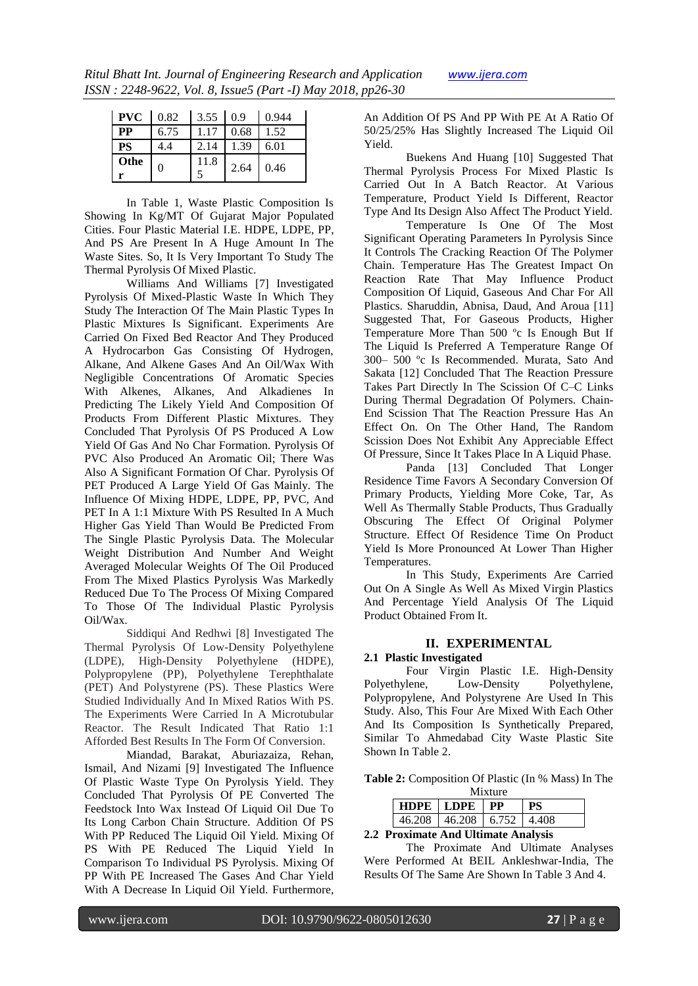| . | www.ijera.com |
|---|---------------|
|   |               |

|           | $\vert$ PVC $\vert$ 0.82 $\vert$ 3.55 $\vert$ 0.9 |      |      | 0.944 |
|-----------|---------------------------------------------------|------|------|-------|
| <b>PP</b> | 6.75                                              | 1.17 | 0.68 | 1.52  |
| <b>PS</b> |                                                   | 2.14 | 1.39 | 6.01  |
| Othe      | 0                                                 | 11.8 | 2.64 | 0.46  |

In Table 1, Waste Plastic Composition Is Showing In Kg/MT Of Gujarat Major Populated Cities. Four Plastic Material I.E. HDPE, LDPE, PP, And PS Are Present In A Huge Amount In The Waste Sites. So, It Is Very Important To Study The Thermal Pyrolysis Of Mixed Plastic.

Williams And Williams [7] Investigated Pyrolysis Of Mixed-Plastic Waste In Which They Study The Interaction Of The Main Plastic Types In Plastic Mixtures Is Significant. Experiments Are Carried On Fixed Bed Reactor And They Produced A Hydrocarbon Gas Consisting Of Hydrogen, Alkane, And Alkene Gases And An Oil/Wax With Negligible Concentrations Of Aromatic Species With Alkenes, Alkanes, And Alkadienes In Predicting The Likely Yield And Composition Of Products From Different Plastic Mixtures. They Concluded That Pyrolysis Of PS Produced A Low Yield Of Gas And No Char Formation. Pyrolysis Of PVC Also Produced An Aromatic Oil; There Was Also A Significant Formation Of Char. Pyrolysis Of PET Produced A Large Yield Of Gas Mainly. The Influence Of Mixing HDPE, LDPE, PP, PVC, And PET In A 1:1 Mixture With PS Resulted In A Much Higher Gas Yield Than Would Be Predicted From The Single Plastic Pyrolysis Data. The Molecular Weight Distribution And Number And Weight Averaged Molecular Weights Of The Oil Produced From The Mixed Plastics Pyrolysis Was Markedly Reduced Due To The Process Of Mixing Compared To Those Of The Individual Plastic Pyrolysis Oil/Wax.

Siddiqui And Redhwi [8] Investigated The Thermal Pyrolysis Of Low-Density Polyethylene (LDPE), High-Density Polyethylene (HDPE), Polypropylene (PP), Polyethylene Terephthalate (PET) And Polystyrene (PS). These Plastics Were Studied Individually And In Mixed Ratios With PS. The Experiments Were Carried In A Microtubular Reactor. The Result Indicated That Ratio 1:1 Afforded Best Results In The Form Of Conversion.

Miandad, Barakat, Aburiazaiza, Rehan, Ismail, And Nizami [9] Investigated The Influence Of Plastic Waste Type On Pyrolysis Yield. They Concluded That Pyrolysis Of PE Converted The Feedstock Into Wax Instead Of Liquid Oil Due To Its Long Carbon Chain Structure. Addition Of PS With PP Reduced The Liquid Oil Yield. Mixing Of PS With PE Reduced The Liquid Yield In Comparison To Individual PS Pyrolysis. Mixing Of PP With PE Increased The Gases And Char Yield With A Decrease In Liquid Oil Yield. Furthermore,

An Addition Of PS And PP With PE At A Ratio Of 50/25/25% Has Slightly Increased The Liquid Oil Yield.

Buekens And Huang [10] Suggested That Thermal Pyrolysis Process For Mixed Plastic Is Carried Out In A Batch Reactor. At Various Temperature, Product Yield Is Different, Reactor Type And Its Design Also Affect The Product Yield.

Temperature Is One Of The Most Significant Operating Parameters In Pyrolysis Since It Controls The Cracking Reaction Of The Polymer Chain. Temperature Has The Greatest Impact On Reaction Rate That May Influence Product Composition Of Liquid, Gaseous And Char For All Plastics. Sharuddin, Abnisa, Daud, And Aroua [11] Suggested That, For Gaseous Products, Higher Temperature More Than 500 ºc Is Enough But If The Liquid Is Preferred A Temperature Range Of 300– 500 ºc Is Recommended. Murata, Sato And Sakata [12] Concluded That The Reaction Pressure Takes Part Directly In The Scission Of C–C Links During Thermal Degradation Of Polymers. Chain-End Scission That The Reaction Pressure Has An Effect On. On The Other Hand, The Random Scission Does Not Exhibit Any Appreciable Effect Of Pressure, Since It Takes Place In A Liquid Phase.

Panda [13] Concluded That Longer Residence Time Favors A Secondary Conversion Of Primary Products, Yielding More Coke, Tar, As Well As Thermally Stable Products, Thus Gradually Obscuring The Effect Of Original Polymer Structure. Effect Of Residence Time On Product Yield Is More Pronounced At Lower Than Higher Temperatures.

In This Study, Experiments Are Carried Out On A Single As Well As Mixed Virgin Plastics And Percentage Yield Analysis Of The Liquid Product Obtained From It.

### **II. EXPERIMENTAL**

### **2.1 Plastic Investigated**

Four Virgin Plastic I.E. High-Density Polyethylene, Low-Density Polyethylene, Polypropylene, And Polystyrene Are Used In This Study. Also, This Four Are Mixed With Each Other And Its Composition Is Synthetically Prepared, Similar To Ahmedabad City Waste Plastic Site Shown In Table 2.

**Table 2:** Composition Of Plastic (In % Mass) In The Mixture

| ivilatulu |             |       |       |  |  |
|-----------|-------------|-------|-------|--|--|
|           | HDPE   LDPE | РP    |       |  |  |
| 16.208    | 46.208      | 6.752 | 1.408 |  |  |

**2.2 Proximate And Ultimate Analysis**

The Proximate And Ultimate Analyses Were Performed At BEIL Ankleshwar-India, The Results Of The Same Are Shown In Table 3 And 4.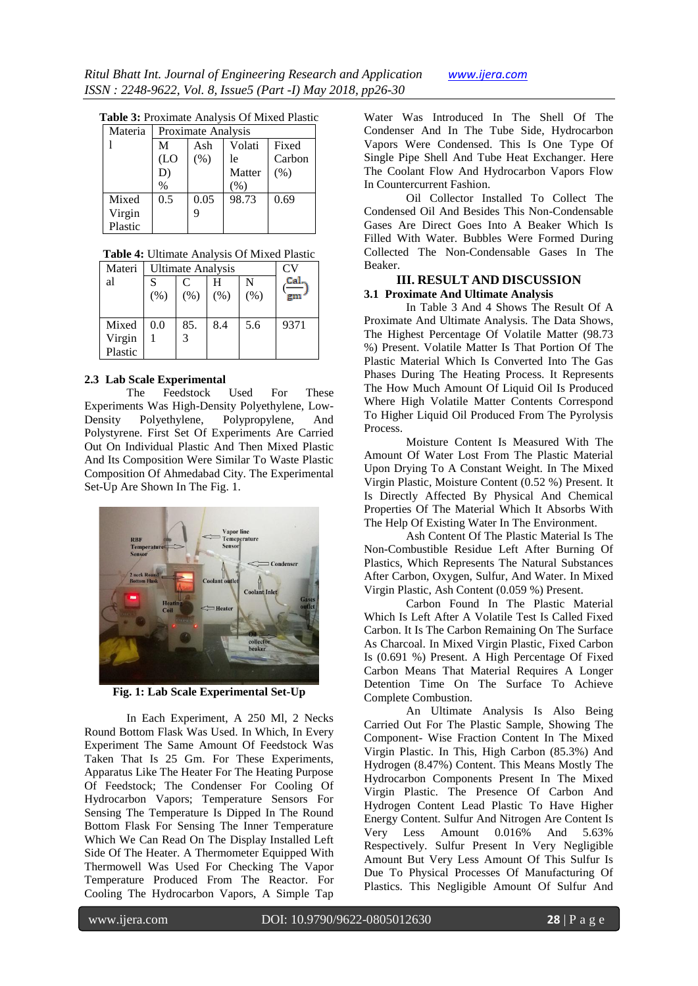#### **Table 3:** Proximate Analysis Of Mixed Plastic

| Materia | Proximate Analysis |      |        |        |
|---------|--------------------|------|--------|--------|
|         | М                  | Ash  | Volati | Fixed  |
|         | (LO)               | (% ) | le     | Carbon |
|         | D)                 |      | Matter | (% )   |
|         | $\%$               |      | $(\%$  |        |
| Mixed   | 0.5                | 0.05 | 98.73  | 0.69   |
| Virgin  |                    |      |        |        |
| Plastic |                    |      |        |        |

| Table 4: Ultimate Analysis Of Mixed Plastic |  |
|---------------------------------------------|--|
|---------------------------------------------|--|

| Materi  | <b>Ultimate Analysis</b> |      |      |      | CV   |
|---------|--------------------------|------|------|------|------|
| al      | C<br>S<br>N              |      |      |      | Cal  |
|         | (% )                     | (% ) | (% ) | (% ) |      |
|         |                          |      |      |      |      |
| Mixed   | 0.0                      | 85.  | 8.4  | 5.6  | 9371 |
| Virgin  |                          |      |      |      |      |
| Plastic |                          |      |      |      |      |

#### **2.3 Lab Scale Experimental**

The Feedstock Used For These Experiments Was High-Density Polyethylene, Low-Density Polyethylene, Polypropylene, And Polystyrene. First Set Of Experiments Are Carried Out On Individual Plastic And Then Mixed Plastic And Its Composition Were Similar To Waste Plastic Composition Of Ahmedabad City. The Experimental Set-Up Are Shown In The Fig. 1.



**Fig. 1: Lab Scale Experimental Set-Up**

In Each Experiment, A 250 Ml, 2 Necks Round Bottom Flask Was Used. In Which, In Every Experiment The Same Amount Of Feedstock Was Taken That Is 25 Gm. For These Experiments, Apparatus Like The Heater For The Heating Purpose Of Feedstock; The Condenser For Cooling Of Hydrocarbon Vapors; Temperature Sensors For Sensing The Temperature Is Dipped In The Round Bottom Flask For Sensing The Inner Temperature Which We Can Read On The Display Installed Left Side Of The Heater. A Thermometer Equipped With Thermowell Was Used For Checking The Vapor Temperature Produced From The Reactor. For Cooling The Hydrocarbon Vapors, A Simple Tap

Water Was Introduced In The Shell Of The Condenser And In The Tube Side, Hydrocarbon Vapors Were Condensed. This Is One Type Of Single Pipe Shell And Tube Heat Exchanger. Here The Coolant Flow And Hydrocarbon Vapors Flow In Countercurrent Fashion.

Oil Collector Installed To Collect The Condensed Oil And Besides This Non-Condensable Gases Are Direct Goes Into A Beaker Which Is Filled With Water. Bubbles Were Formed During Collected The Non-Condensable Gases In The Beaker.

#### **III. RESULT AND DISCUSSION 3.1 Proximate And Ultimate Analysis**

In Table 3 And 4 Shows The Result Of A Proximate And Ultimate Analysis. The Data Shows, The Highest Percentage Of Volatile Matter (98.73 %) Present. Volatile Matter Is That Portion Of The Plastic Material Which Is Converted Into The Gas Phases During The Heating Process. It Represents The How Much Amount Of Liquid Oil Is Produced Where High Volatile Matter Contents Correspond To Higher Liquid Oil Produced From The Pyrolysis Process.

Moisture Content Is Measured With The Amount Of Water Lost From The Plastic Material Upon Drying To A Constant Weight. In The Mixed Virgin Plastic, Moisture Content (0.52 %) Present. It Is Directly Affected By Physical And Chemical Properties Of The Material Which It Absorbs With The Help Of Existing Water In The Environment.

Ash Content Of The Plastic Material Is The Non-Combustible Residue Left After Burning Of Plastics, Which Represents The Natural Substances After Carbon, Oxygen, Sulfur, And Water. In Mixed Virgin Plastic, Ash Content (0.059 %) Present.

Carbon Found In The Plastic Material Which Is Left After A Volatile Test Is Called Fixed Carbon. It Is The Carbon Remaining On The Surface As Charcoal. In Mixed Virgin Plastic, Fixed Carbon Is (0.691 %) Present. A High Percentage Of Fixed Carbon Means That Material Requires A Longer Detention Time On The Surface To Achieve Complete Combustion.

An Ultimate Analysis Is Also Being Carried Out For The Plastic Sample, Showing The Component- Wise Fraction Content In The Mixed Virgin Plastic. In This, High Carbon (85.3%) And Hydrogen (8.47%) Content. This Means Mostly The Hydrocarbon Components Present In The Mixed Virgin Plastic. The Presence Of Carbon And Hydrogen Content Lead Plastic To Have Higher Energy Content. Sulfur And Nitrogen Are Content Is Very Less Amount 0.016% And 5.63% Respectively. Sulfur Present In Very Negligible Amount But Very Less Amount Of This Sulfur Is Due To Physical Processes Of Manufacturing Of Plastics. This Negligible Amount Of Sulfur And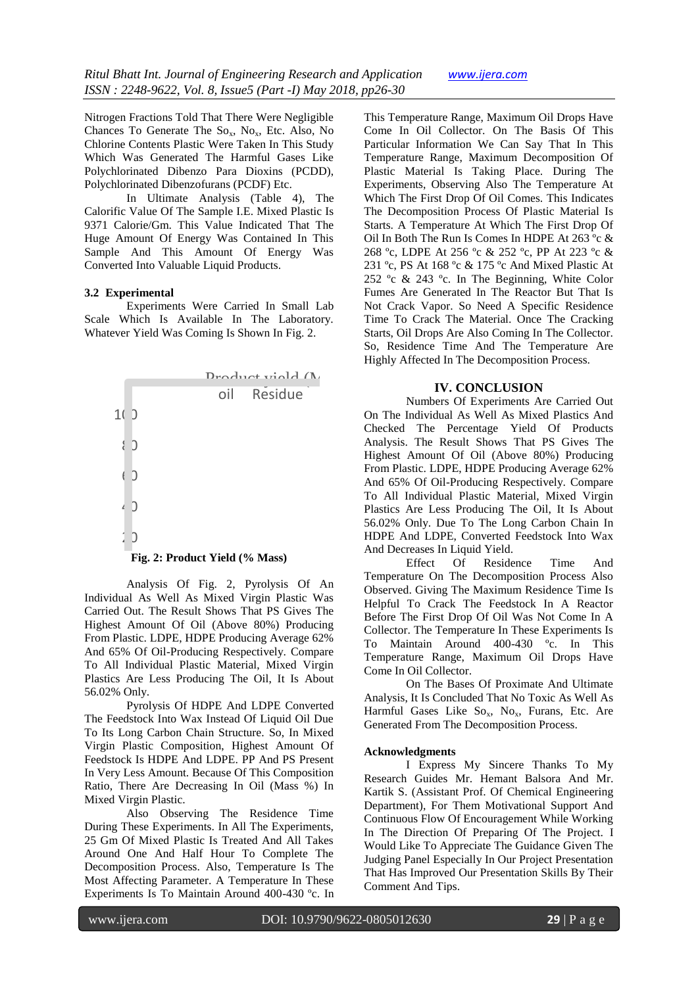Nitrogen Fractions Told That There Were Negligible Chances To Generate The  $So_{x}$ ,  $No_{x}$ , Etc. Also, No Chlorine Contents Plastic Were Taken In This Study Which Was Generated The Harmful Gases Like Polychlorinated Dibenzo Para Dioxins (PCDD), Polychlorinated Dibenzofurans (PCDF) Etc.

In Ultimate Analysis (Table 4), The Calorific Value Of The Sample I.E. Mixed Plastic Is 9371 Calorie/Gm. This Value Indicated That The Huge Amount Of Energy Was Contained In This Sample And This Amount Of Energy Was Converted Into Valuable Liquid Products.

#### **3.2 Experimental**

Experiments Were Carried In Small Lab Scale Which Is Available In The Laboratory. Whatever Yield Was Coming Is Shown In Fig. 2.



Analysis Of Fig. 2, Tytolysis Of An<br>Individual As Well As Mixed Virgin Plastic Was<br>Carried Out. The Result Shows That PS Gives The Analysis Of Fig. 2, Pyrolysis Of An Carried Out. The Result Shows That PS Gives The Highest Amount Of Oil (Above 80%) Producing From Plastic. LDPE, HDPE Producing Average 62% And 65% Of Oil-Producing Respectively. Compare To All Individual Plastic Material, Mixed Virgin Plastics Are Less Producing The Oil, It Is About 56.02% Only.

Pyrolysis Of HDPE And LDPE Converted The Feedstock Into Wax Instead Of Liquid Oil Due To Its Long Carbon Chain Structure. So, In Mixed Virgin Plastic Composition, Highest Amount Of Feedstock Is HDPE And LDPE. PP And PS Present In Very Less Amount. Because Of This Composition Ratio, There Are Decreasing In Oil (Mass %) In Mixed Virgin Plastic.

Also Observing The Residence Time During These Experiments. In All The Experiments, 25 Gm Of Mixed Plastic Is Treated And All Takes Around One And Half Hour To Complete The Decomposition Process. Also, Temperature Is The Most Affecting Parameter. A Temperature In These Experiments Is To Maintain Around 400-430 ºc. In

This Temperature Range, Maximum Oil Drops Have Come In Oil Collector. On The Basis Of This Particular Information We Can Say That In This Temperature Range, Maximum Decomposition Of Plastic Material Is Taking Place. During The Experiments, Observing Also The Temperature At Which The First Drop Of Oil Comes. This Indicates The Decomposition Process Of Plastic Material Is Starts. A Temperature At Which The First Drop Of Oil In Both The Run Is Comes In HDPE At 263 ºc & 268 ºc, LDPE At 256 ºc & 252 ºc, PP At 223 ºc & 231 ºc, PS At 168 ºc & 175 ºc And Mixed Plastic At 252 ºc & 243 ºc. In The Beginning, White Color Fumes Are Generated In The Reactor But That Is Not Crack Vapor. So Need A Specific Residence Time To Crack The Material. Once The Cracking Starts, Oil Drops Are Also Coming In The Collector. So, Residence Time And The Temperature Are Highly Affected In The Decomposition Process.

#### **IV. CONCLUSION**

Numbers Of Experiments Are Carried Out On The Individual As Well As Mixed Plastics And Checked The Percentage Yield Of Products Analysis. The Result Shows That PS Gives The Highest Amount Of Oil (Above 80%) Producing From Plastic. LDPE, HDPE Producing Average 62% And 65% Of Oil-Producing Respectively. Compare To All Individual Plastic Material, Mixed Virgin Plastics Are Less Producing The Oil, It Is About 56.02% Only. Due To The Long Carbon Chain In HDPE And LDPE, Converted Feedstock Into Wax And Decreases In Liquid Yield.

Observed. Giving The Maximum Residence Time Is Observed. Giving The Maximum Residence Time Is<br>Helpful To Crack The Feedstock In A Reactor<br>Before The First Drop Of Oil Was Not Come In A Effect Of Residence Time And Temperature On The Decomposition Process Also Helpful To Crack The Feedstock In A Reactor Collector. The Temperature In These Experiments Is To Maintain Around 400-430 ºc. In This Temperature Range, Maximum Oil Drops Have Come In Oil Collector.

On The Bases Of Proximate And Ultimate Analysis, It Is Concluded That No Toxic As Well As Harmful Gases Like  $So_x$ ,  $No_x$ , Furans, Etc. Are Generated From The Decomposition Process.

#### **Acknowledgments**

I Express My Sincere Thanks To My Research Guides Mr. Hemant Balsora And Mr. Kartik S. (Assistant Prof. Of Chemical Engineering Department), For Them Motivational Support And Continuous Flow Of Encouragement While Working In The Direction Of Preparing Of The Project. I Would Like To Appreciate The Guidance Given The Judging Panel Especially In Our Project Presentation That Has Improved Our Presentation Skills By Their Comment And Tips.